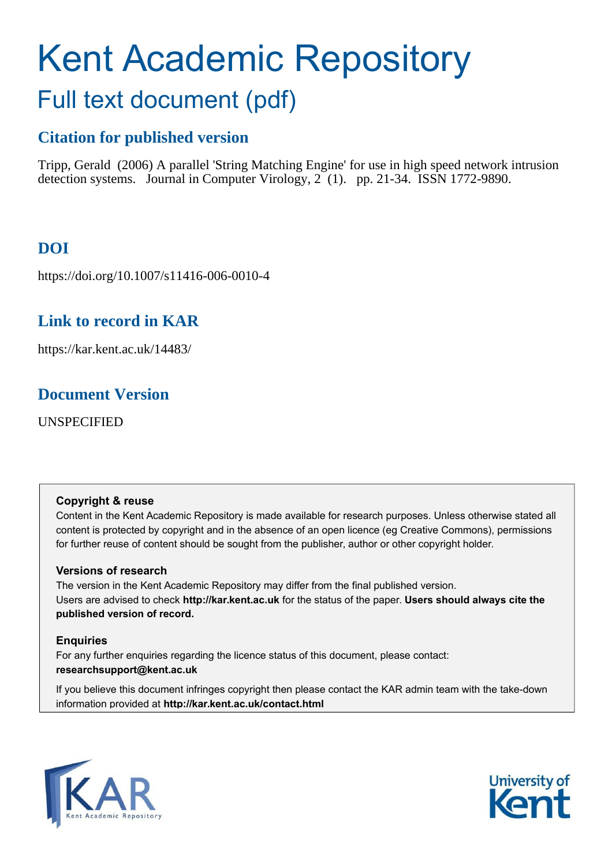# Kent Academic Repository Full text document (pdf)

# **Citation for published version**

Tripp, Gerald (2006) A parallel 'String Matching Engine' for use in high speed network intrusion detection systems. Journal in Computer Virology,  $2(1)$ . pp. 21-34. ISSN 1772-9890.

# **DOI**

https://doi.org/10.1007/s11416-006-0010-4

# **Link to record in KAR**

https://kar.kent.ac.uk/14483/

# **Document Version**

UNSPECIFIED

#### **Copyright & reuse**

Content in the Kent Academic Repository is made available for research purposes. Unless otherwise stated all content is protected by copyright and in the absence of an open licence (eg Creative Commons), permissions for further reuse of content should be sought from the publisher, author or other copyright holder.

#### **Versions of research**

The version in the Kent Academic Repository may differ from the final published version. Users are advised to check **http://kar.kent.ac.uk** for the status of the paper. **Users should always cite the published version of record.**

#### **Enquiries**

For any further enquiries regarding the licence status of this document, please contact: **researchsupport@kent.ac.uk**

If you believe this document infringes copyright then please contact the KAR admin team with the take-down information provided at **http://kar.kent.ac.uk/contact.html**



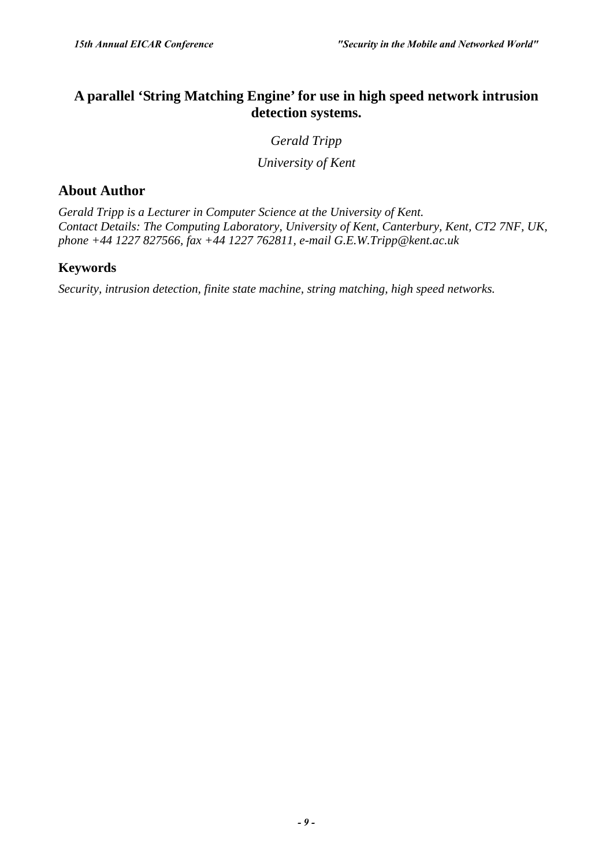## **A parallel 'String Matching Engine' for use in high speed network intrusion detection systems.**

#### *Gerald Tripp*

*University of Kent* 

## **About Author**

*Gerald Tripp is a Lecturer in Computer Science at the University of Kent. Contact Details: The Computing Laboratory, University of Kent, Canterbury, Kent, CT2 7NF, UK, phone +44 1227 827566, fax +44 1227 762811, e-mail G.E.W.Tripp@kent.ac.uk* 

## **Keywords**

*Security, intrusion detection, finite state machine, string matching, high speed networks.*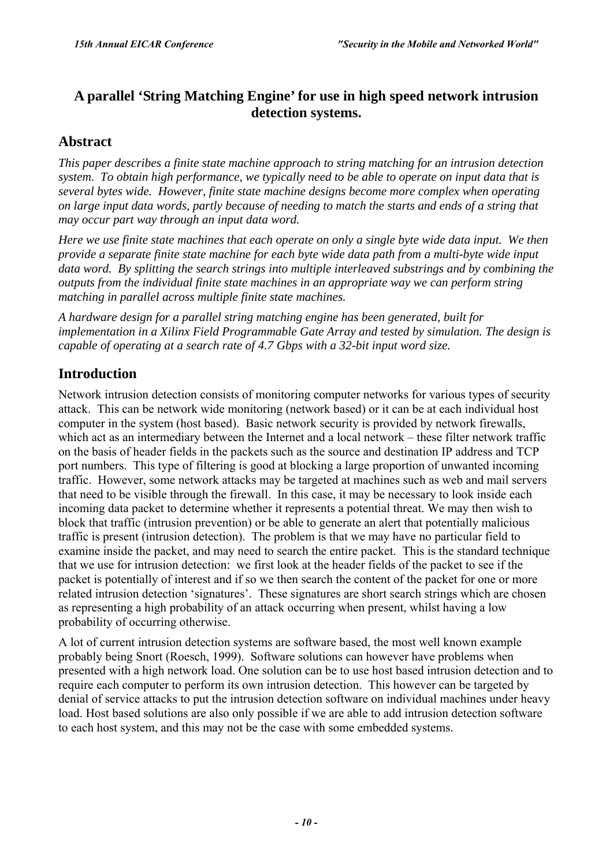## **A parallel 'String Matching Engine' for use in high speed network intrusion detection systems.**

## **Abstract**

*This paper describes a finite state machine approach to string matching for an intrusion detection system. To obtain high performance, we typically need to be able to operate on input data that is several bytes wide. However, finite state machine designs become more complex when operating on large input data words, partly because of needing to match the starts and ends of a string that may occur part way through an input data word.* 

*Here we use finite state machines that each operate on only a single byte wide data input. We then provide a separate finite state machine for each byte wide data path from a multi-byte wide input data word. By splitting the search strings into multiple interleaved substrings and by combining the outputs from the individual finite state machines in an appropriate way we can perform string matching in parallel across multiple finite state machines.* 

*A hardware design for a parallel string matching engine has been generated, built for implementation in a Xilinx Field Programmable Gate Array and tested by simulation. The design is capable of operating at a search rate of 4.7 Gbps with a 32-bit input word size.* 

## **Introduction**

Network intrusion detection consists of monitoring computer networks for various types of security attack. This can be network wide monitoring (network based) or it can be at each individual host computer in the system (host based). Basic network security is provided by network firewalls, which act as an intermediary between the Internet and a local network – these filter network traffic on the basis of header fields in the packets such as the source and destination IP address and TCP port numbers. This type of filtering is good at blocking a large proportion of unwanted incoming traffic. However, some network attacks may be targeted at machines such as web and mail servers that need to be visible through the firewall. In this case, it may be necessary to look inside each incoming data packet to determine whether it represents a potential threat. We may then wish to block that traffic (intrusion prevention) or be able to generate an alert that potentially malicious traffic is present (intrusion detection). The problem is that we may have no particular field to examine inside the packet, and may need to search the entire packet. This is the standard technique that we use for intrusion detection: we first look at the header fields of the packet to see if the packet is potentially of interest and if so we then search the content of the packet for one or more related intrusion detection 'signatures'. These signatures are short search strings which are chosen as representing a high probability of an attack occurring when present, whilst having a low probability of occurring otherwise.

A lot of current intrusion detection systems are software based, the most well known example probably being Snort (Roesch, 1999). Software solutions can however have problems when presented with a high network load. One solution can be to use host based intrusion detection and to require each computer to perform its own intrusion detection. This however can be targeted by denial of service attacks to put the intrusion detection software on individual machines under heavy load. Host based solutions are also only possible if we are able to add intrusion detection software to each host system, and this may not be the case with some embedded systems.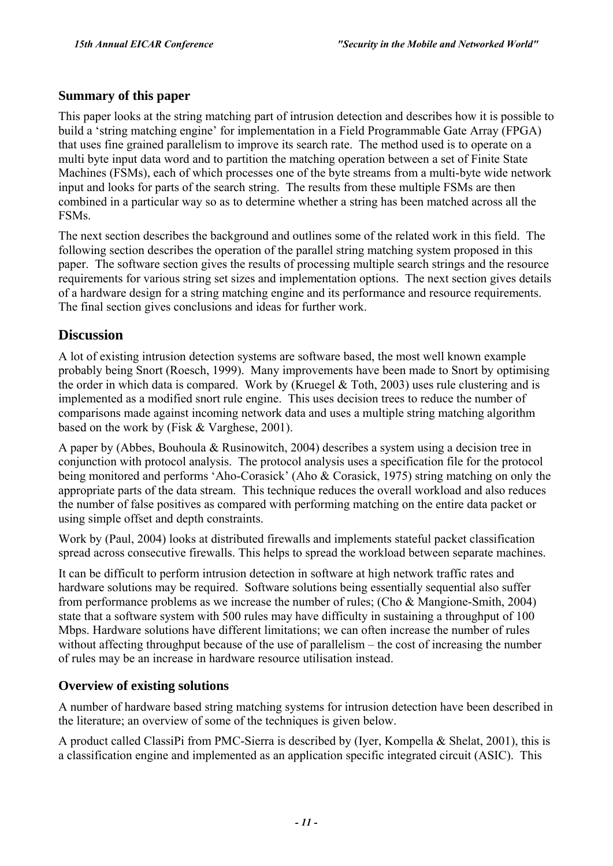#### **Summary of this paper**

This paper looks at the string matching part of intrusion detection and describes how it is possible to build a 'string matching engine' for implementation in a Field Programmable Gate Array (FPGA) that uses fine grained parallelism to improve its search rate. The method used is to operate on a multi byte input data word and to partition the matching operation between a set of Finite State Machines (FSMs), each of which processes one of the byte streams from a multi-byte wide network input and looks for parts of the search string. The results from these multiple FSMs are then combined in a particular way so as to determine whether a string has been matched across all the FSMs.

The next section describes the background and outlines some of the related work in this field. The following section describes the operation of the parallel string matching system proposed in this paper. The software section gives the results of processing multiple search strings and the resource requirements for various string set sizes and implementation options. The next section gives details of a hardware design for a string matching engine and its performance and resource requirements. The final section gives conclusions and ideas for further work.

## **Discussion**

A lot of existing intrusion detection systems are software based, the most well known example probably being Snort (Roesch, 1999). Many improvements have been made to Snort by optimising the order in which data is compared. Work by (Kruegel & Toth, 2003) uses rule clustering and is implemented as a modified snort rule engine. This uses decision trees to reduce the number of comparisons made against incoming network data and uses a multiple string matching algorithm based on the work by (Fisk & Varghese, 2001).

A paper by (Abbes, Bouhoula & Rusinowitch, 2004) describes a system using a decision tree in conjunction with protocol analysis. The protocol analysis uses a specification file for the protocol being monitored and performs 'Aho-Corasick' (Aho & Corasick, 1975) string matching on only the appropriate parts of the data stream. This technique reduces the overall workload and also reduces the number of false positives as compared with performing matching on the entire data packet or using simple offset and depth constraints.

Work by (Paul, 2004) looks at distributed firewalls and implements stateful packet classification spread across consecutive firewalls. This helps to spread the workload between separate machines.

It can be difficult to perform intrusion detection in software at high network traffic rates and hardware solutions may be required. Software solutions being essentially sequential also suffer from performance problems as we increase the number of rules; (Cho & Mangione-Smith, 2004) state that a software system with 500 rules may have difficulty in sustaining a throughput of 100 Mbps. Hardware solutions have different limitations; we can often increase the number of rules without affecting throughput because of the use of parallelism  $-$  the cost of increasing the number of rules may be an increase in hardware resource utilisation instead.

#### **Overview of existing solutions**

A number of hardware based string matching systems for intrusion detection have been described in the literature; an overview of some of the techniques is given below.

A product called ClassiPi from PMC-Sierra is described by (Iyer, Kompella & Shelat, 2001), this is a classification engine and implemented as an application specific integrated circuit (ASIC). This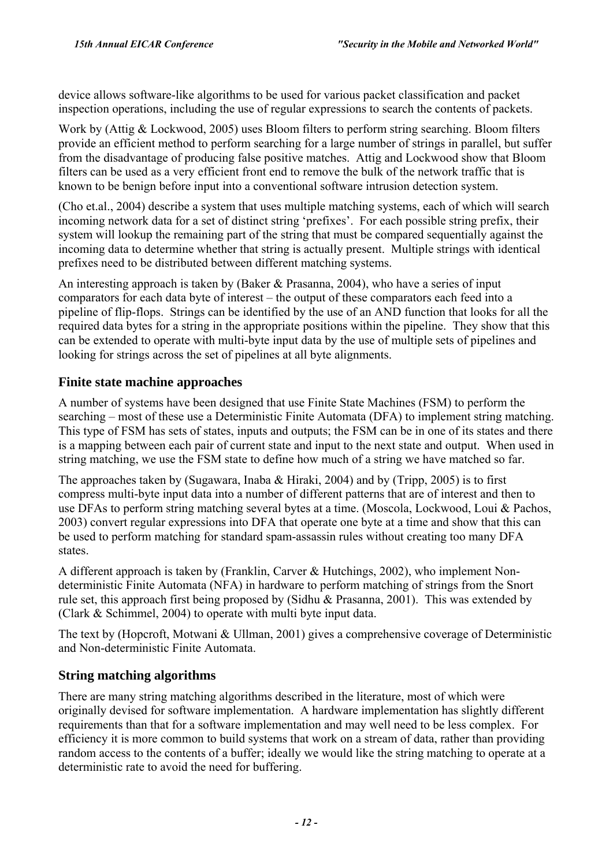device allows software-like algorithms to be used for various packet classification and packet inspection operations, including the use of regular expressions to search the contents of packets.

Work by (Attig & Lockwood, 2005) uses Bloom filters to perform string searching. Bloom filters provide an efficient method to perform searching for a large number of strings in parallel, but suffer from the disadvantage of producing false positive matches. Attig and Lockwood show that Bloom filters can be used as a very efficient front end to remove the bulk of the network traffic that is known to be benign before input into a conventional software intrusion detection system.

(Cho et.al., 2004) describe a system that uses multiple matching systems, each of which will search incoming network data for a set of distinct string 'prefixes'. For each possible string prefix, their system will lookup the remaining part of the string that must be compared sequentially against the incoming data to determine whether that string is actually present. Multiple strings with identical prefixes need to be distributed between different matching systems.

An interesting approach is taken by (Baker & Prasanna, 2004), who have a series of input comparators for each data byte of interest – the output of these comparators each feed into a pipeline of flip-flops. Strings can be identified by the use of an AND function that looks for all the required data bytes for a string in the appropriate positions within the pipeline. They show that this can be extended to operate with multi-byte input data by the use of multiple sets of pipelines and looking for strings across the set of pipelines at all byte alignments.

## **Finite state machine approaches**

A number of systems have been designed that use Finite State Machines (FSM) to perform the searching – most of these use a Deterministic Finite Automata (DFA) to implement string matching. This type of FSM has sets of states, inputs and outputs; the FSM can be in one of its states and there is a mapping between each pair of current state and input to the next state and output. When used in string matching, we use the FSM state to define how much of a string we have matched so far.

The approaches taken by (Sugawara, Inaba & Hiraki, 2004) and by (Tripp, 2005) is to first compress multi-byte input data into a number of different patterns that are of interest and then to use DFAs to perform string matching several bytes at a time. (Moscola, Lockwood, Loui & Pachos, 2003) convert regular expressions into DFA that operate one byte at a time and show that this can be used to perform matching for standard spam-assassin rules without creating too many DFA states.

A different approach is taken by (Franklin, Carver & Hutchings, 2002), who implement Nondeterministic Finite Automata (NFA) in hardware to perform matching of strings from the Snort rule set, this approach first being proposed by (Sidhu & Prasanna, 2001). This was extended by (Clark & Schimmel, 2004) to operate with multi byte input data.

The text by (Hopcroft, Motwani & Ullman, 2001) gives a comprehensive coverage of Deterministic and Non-deterministic Finite Automata.

## **String matching algorithms**

There are many string matching algorithms described in the literature, most of which were originally devised for software implementation. A hardware implementation has slightly different requirements than that for a software implementation and may well need to be less complex. For efficiency it is more common to build systems that work on a stream of data, rather than providing random access to the contents of a buffer; ideally we would like the string matching to operate at a deterministic rate to avoid the need for buffering.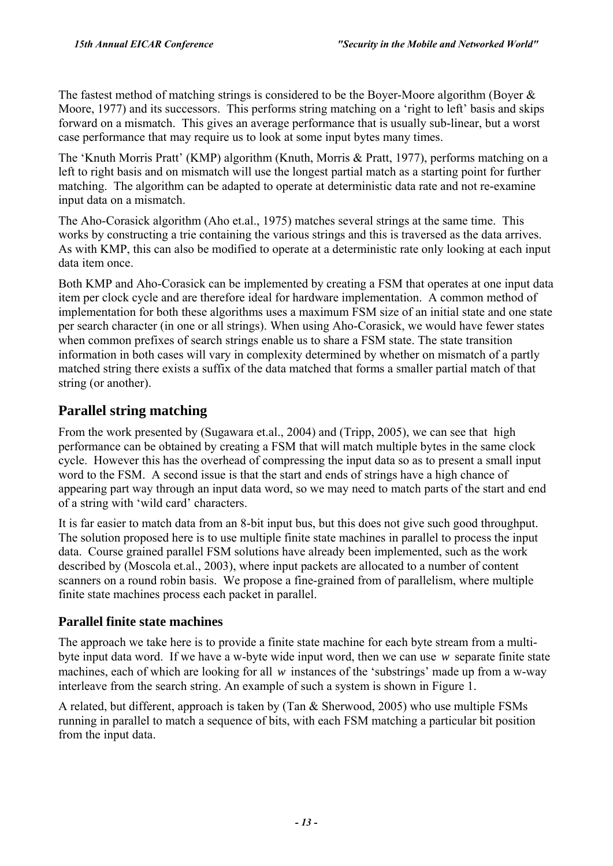The fastest method of matching strings is considered to be the Boyer-Moore algorithm (Boyer & Moore, 1977) and its successors. This performs string matching on a 'right to left' basis and skips forward on a mismatch. This gives an average performance that is usually sub-linear, but a worst case performance that may require us to look at some input bytes many times.

The 'Knuth Morris Pratt' (KMP) algorithm (Knuth, Morris & Pratt, 1977), performs matching on a left to right basis and on mismatch will use the longest partial match as a starting point for further matching. The algorithm can be adapted to operate at deterministic data rate and not re-examine input data on a mismatch.

The Aho-Corasick algorithm (Aho et.al., 1975) matches several strings at the same time. This works by constructing a trie containing the various strings and this is traversed as the data arrives. As with KMP, this can also be modified to operate at a deterministic rate only looking at each input data item once.

Both KMP and Aho-Corasick can be implemented by creating a FSM that operates at one input data item per clock cycle and are therefore ideal for hardware implementation. A common method of implementation for both these algorithms uses a maximum FSM size of an initial state and one state per search character (in one or all strings). When using Aho-Corasick, we would have fewer states when common prefixes of search strings enable us to share a FSM state. The state transition information in both cases will vary in complexity determined by whether on mismatch of a partly matched string there exists a suffix of the data matched that forms a smaller partial match of that string (or another).

# **Parallel string matching**

From the work presented by (Sugawara et.al., 2004) and (Tripp, 2005), we can see that high performance can be obtained by creating a FSM that will match multiple bytes in the same clock cycle. However this has the overhead of compressing the input data so as to present a small input word to the FSM. A second issue is that the start and ends of strings have a high chance of appearing part way through an input data word, so we may need to match parts of the start and end of a string with 'wild card' characters.

It is far easier to match data from an 8-bit input bus, but this does not give such good throughput. The solution proposed here is to use multiple finite state machines in parallel to process the input data. Course grained parallel FSM solutions have already been implemented, such as the work described by (Moscola et.al., 2003), where input packets are allocated to a number of content scanners on a round robin basis. We propose a fine-grained from of parallelism, where multiple finite state machines process each packet in parallel.

## **Parallel finite state machines**

The approach we take here is to provide a finite state machine for each byte stream from a multibyte input data word. If we have a w-byte wide input word, then we can use *w* separate finite state machines, each of which are looking for all  $w$  instances of the 'substrings' made up from a w-way interleave from the search string. An example of such a system is shown in Figure 1.

A related, but different, approach is taken by (Tan & Sherwood, 2005) who use multiple FSMs running in parallel to match a sequence of bits, with each FSM matching a particular bit position from the input data.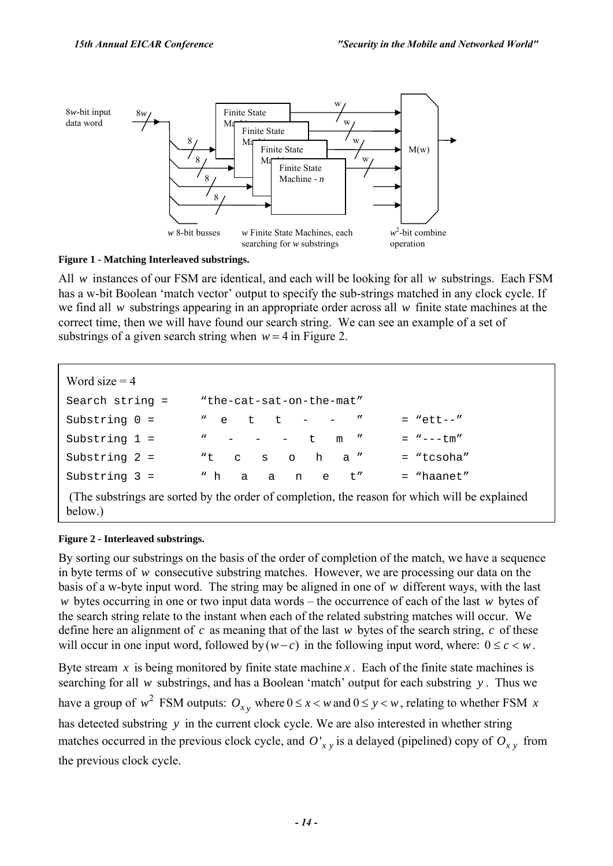

**Figure 1 - Matching Interleaved substrings.** 

All *w* instances of our FSM are identical, and each will be looking for all *w* substrings. Each FSM has a w-bit Boolean 'match vector' output to specify the sub-strings matched in any clock cycle. If we find all *w* substrings appearing in an appropriate order across all *w* finite state machines at the correct time, then we will have found our search string. We can see an example of a set of substrings of a given search string when  $w = 4$  in Figure 2.

```
Word size = 4Search string = "the-cat-sat-on-the-mat" 
Substring 0 = " e t t - - " = "ett--"
Substring 1 = \cdots - - \cdots \cdots \cdots = \cdots--tm"
Substring 2 = "t c s o h a " = "tcsoha"
Substring 3 = " h a a n e t'' = "haanet"
 (The substrings are sorted by the order of completion, the reason for which will be explained 
below.)
```
#### **Figure 2 - Interleaved substrings.**

By sorting our substrings on the basis of the order of completion of the match, we have a sequence in byte terms of *w* consecutive substring matches. However, we are processing our data on the basis of a w-byte input word. The string may be aligned in one of *w* different ways, with the last *w* bytes occurring in one or two input data words – the occurrence of each of the last *w* bytes of the search string relate to the instant when each of the related substring matches will occur. We define here an alignment of *c* as meaning that of the last *w* bytes of the search string, *c* of these will occur in one input word, followed by  $(w-c)$  in the following input word, where:  $0 \le c < w$ .

Byte stream  $\bar{x}$  is being monitored by finite state machine  $\bar{x}$ . Each of the finite state machines is searching for all *w* substrings, and has a Boolean 'match' output for each substring *y*. Thus we have a group of  $w^2$  FSM outputs:  $O_{x,y}$  where  $0 \le x < w$  and  $0 \le y < w$ , relating to whether FSM  $x$ has detected substring *y* in the current clock cycle. We are also interested in whether string matches occurred in the previous clock cycle, and  $O'_{xy}$  is a delayed (pipelined) copy of  $O_{xy}$  from the previous clock cycle.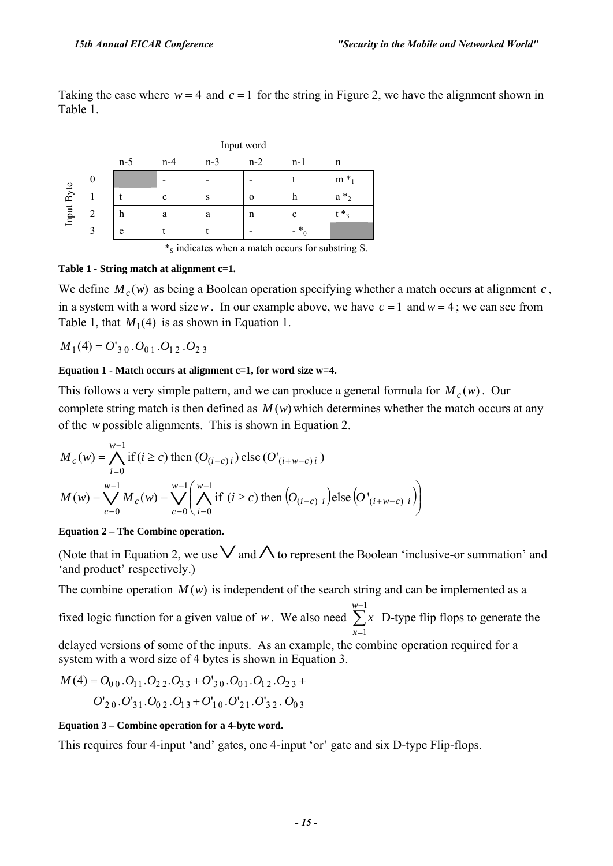Taking the case where  $w = 4$  and  $c = 1$  for the string in Figure 2, we have the alignment shown in Table 1.

|            |   | Input word |       |       |       |                  |             |  |
|------------|---|------------|-------|-------|-------|------------------|-------------|--|
|            |   | $n-5$      | $n-4$ | $n-3$ | $n-2$ | $n-1$            | n           |  |
| Input Byte |   |            |       |       |       |                  | $\ast$<br>m |  |
|            |   |            | c     | S     | Ω     | n                | $*_2$<br>a  |  |
|            | C | n          | a     | a     | n     | e                | $*$ ,       |  |
|            |   | e          |       |       |       | $*$ <sub>0</sub> |             |  |

<sup>\*</sup>s indicates when a match occurs for substring S.

#### **Table 1 - String match at alignment c=1.**

We define  $M_c(w)$  as being a Boolean operation specifying whether a match occurs at alignment *c*, in a system with a word size w. In our example above, we have  $c = 1$  and  $w = 4$ ; we can see from Table 1, that  $M_1(4)$  is as shown in Equation 1.

 $M_1(4) = O'_{3,0} \cdot O_{0,1} \cdot O_{1,2} \cdot O_{2,3}$ 

#### **Equation 1 - Match occurs at alignment c=1, for word size w=4.**

This follows a very simple pattern, and we can produce a general formula for  $M_c(w)$ . Our complete string match is then defined as  $M(w)$  which determines whether the match occurs at any of the *w* possible alignments. This is shown in Equation 2.

$$
M_c(w) = \bigwedge_{i=0}^{w-1} \text{if } (i \ge c) \text{ then } (O_{(i-c)i}) \text{ else } (O'_{(i+w-c)i})
$$
  

$$
M(w) = \bigvee_{c=0}^{w-1} M_c(w) = \bigvee_{c=0}^{w-1} \left( \bigwedge_{i=0}^{w-1} \text{if } (i \ge c) \text{ then } (O_{(i-c) i}) \text{ else } (O'_{(i+w-c) i}) \right)
$$

#### **Equation 2 – The Combine operation.**

(Note that in Equation 2, we use  $\vee$  and  $\wedge$  to represent the Boolean 'inclusive-or summation' and 'and product' respectively.)

The combine operation  $M(w)$  is independent of the search string and can be implemented as a

fixed logic function for a given value of *w*. We also need  $\sum$ − =  $w-1$ 1 *x x* D-type flip flops to generate the

delayed versions of some of the inputs. As an example, the combine operation required for a system with a word size of 4 bytes is shown in Equation 3.

$$
M(4) = O_{00}.O_{11}.O_{22}.O_{33} + O'_{30}.O_{01}.O_{12}.O_{23} + O'_{20}.O'_{31}.O_{02}.O_{13} + O'_{10}.O'_{21}.O'_{32}.O_{03}
$$

#### **Equation 3 – Combine operation for a 4-byte word.**

This requires four 4-input 'and' gates, one 4-input 'or' gate and six D-type Flip-flops.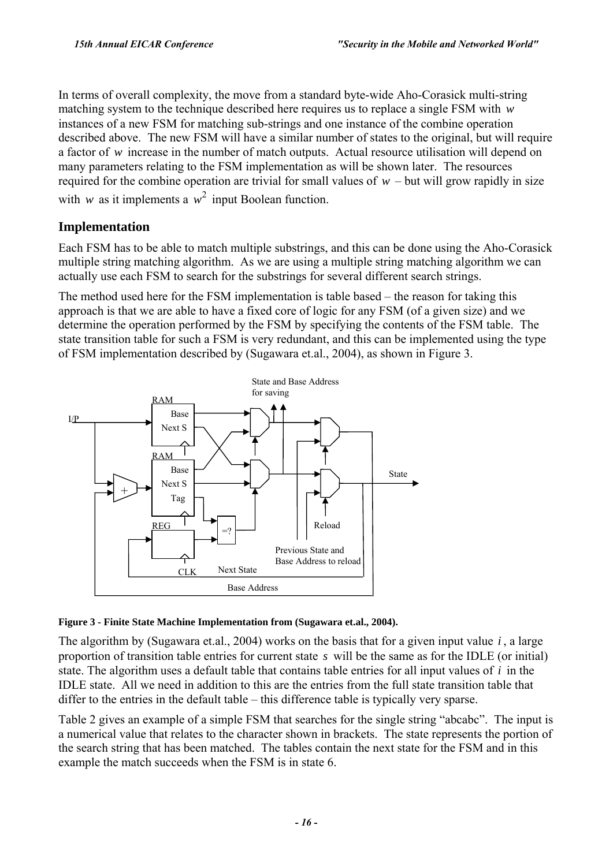In terms of overall complexity, the move from a standard byte-wide Aho-Corasick multi-string matching system to the technique described here requires us to replace a single FSM with *w* instances of a new FSM for matching sub-strings and one instance of the combine operation described above. The new FSM will have a similar number of states to the original, but will require a factor of *w* increase in the number of match outputs. Actual resource utilisation will depend on many parameters relating to the FSM implementation as will be shown later. The resources required for the combine operation are trivial for small values of  $w$  – but will grow rapidly in size with *w* as it implements a  $w^2$  input Boolean function.

## **Implementation**

Each FSM has to be able to match multiple substrings, and this can be done using the Aho-Corasick multiple string matching algorithm. As we are using a multiple string matching algorithm we can actually use each FSM to search for the substrings for several different search strings.

The method used here for the FSM implementation is table based  $-$  the reason for taking this approach is that we are able to have a fixed core of logic for any FSM (of a given size) and we determine the operation performed by the FSM by specifying the contents of the FSM table. The state transition table for such a FSM is very redundant, and this can be implemented using the type of FSM implementation described by (Sugawara et.al., 2004), as shown in Figure 3.





The algorithm by (Sugawara et.al., 2004) works on the basis that for a given input value *i* , a large proportion of transition table entries for current state *s* will be the same as for the IDLE (or initial) state. The algorithm uses a default table that contains table entries for all input values of *i* in the IDLE state. All we need in addition to this are the entries from the full state transition table that differ to the entries in the default table  $-$  this difference table is typically very sparse.

Table 2 gives an example of a simple FSM that searches for the single string "abcabc". The input is a numerical value that relates to the character shown in brackets. The state represents the portion of the search string that has been matched. The tables contain the next state for the FSM and in this example the match succeeds when the FSM is in state 6.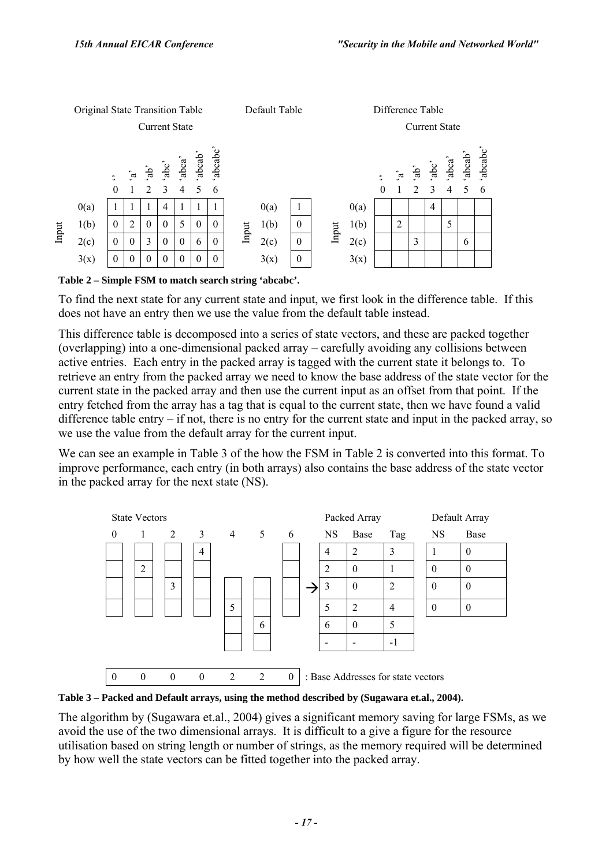

**Table 2 – Simple FSM to match search string 'abcabc'.** 

To find the next state for any current state and input, we first look in the difference table. If this does not have an entry then we use the value from the default table instead.

This difference table is decomposed into a series of state vectors, and these are packed together (overlapping) into a one-dimensional packed array  $-\alpha$  carefully avoiding any collisions between active entries. Each entry in the packed array is tagged with the current state it belongs to. To retrieve an entry from the packed array we need to know the base address of the state vector for the current state in the packed array and then use the current input as an offset from that point. If the entry fetched from the array has a tag that is equal to the current state, then we have found a valid difference table entry  $-$  if not, there is no entry for the current state and input in the packed array, so we use the value from the default array for the current input.

We can see an example in Table 3 of the how the FSM in Table 2 is converted into this format. To improve performance, each entry (in both arrays) also contains the base address of the state vector in the packed array for the next state (NS).





The algorithm by (Sugawara et.al., 2004) gives a significant memory saving for large FSMs, as we avoid the use of the two dimensional arrays. It is difficult to a give a figure for the resource utilisation based on string length or number of strings, as the memory required will be determined by how well the state vectors can be fitted together into the packed array.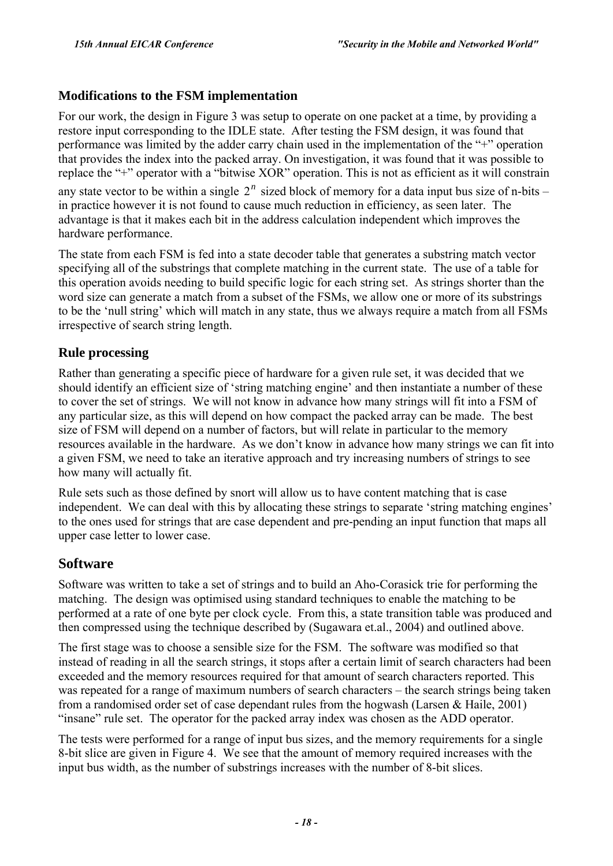### **Modifications to the FSM implementation**

For our work, the design in Figure 3 was setup to operate on one packet at a time, by providing a restore input corresponding to the IDLE state. After testing the FSM design, it was found that performance was limited by the adder carry chain used in the implementation of the  $4+1$  operation that provides the index into the packed array. On investigation, it was found that it was possible to replace the "+" operator with a "bitwise XOR" operation. This is not as efficient as it will constrain any state vector to be within a single  $2^n$  sized block of memory for a data input bus size of n-bits – in practice however it is not found to cause much reduction in efficiency, as seen later. The advantage is that it makes each bit in the address calculation independent which improves the hardware performance.

The state from each FSM is fed into a state decoder table that generates a substring match vector specifying all of the substrings that complete matching in the current state. The use of a table for this operation avoids needing to build specific logic for each string set. As strings shorter than the word size can generate a match from a subset of the FSMs, we allow one or more of its substrings to be the 'null string' which will match in any state, thus we always require a match from all FSMs irrespective of search string length.

## **Rule processing**

Rather than generating a specific piece of hardware for a given rule set, it was decided that we should identify an efficient size of 'string matching engine' and then instantiate a number of these to cover the set of strings. We will not know in advance how many strings will fit into a FSM of any particular size, as this will depend on how compact the packed array can be made. The best size of FSM will depend on a number of factors, but will relate in particular to the memory resources available in the hardware. As we don't know in advance how many strings we can fit into a given FSM, we need to take an iterative approach and try increasing numbers of strings to see how many will actually fit.

Rule sets such as those defined by snort will allow us to have content matching that is case independent. We can deal with this by allocating these strings to separate 'string matching engines' to the ones used for strings that are case dependent and pre-pending an input function that maps all upper case letter to lower case.

## **Software**

Software was written to take a set of strings and to build an Aho-Corasick trie for performing the matching. The design was optimised using standard techniques to enable the matching to be performed at a rate of one byte per clock cycle. From this, a state transition table was produced and then compressed using the technique described by (Sugawara et.al., 2004) and outlined above.

The first stage was to choose a sensible size for the FSM. The software was modified so that instead of reading in all the search strings, it stops after a certain limit of search characters had been exceeded and the memory resources required for that amount of search characters reported. This was repeated for a range of maximum numbers of search characters  $-$  the search strings being taken from a randomised order set of case dependant rules from the hogwash (Larsen & Haile, 2001) ìinsaneî rule set. The operator for the packed array index was chosen as the ADD operator.

The tests were performed for a range of input bus sizes, and the memory requirements for a single 8-bit slice are given in Figure 4. We see that the amount of memory required increases with the input bus width, as the number of substrings increases with the number of 8-bit slices.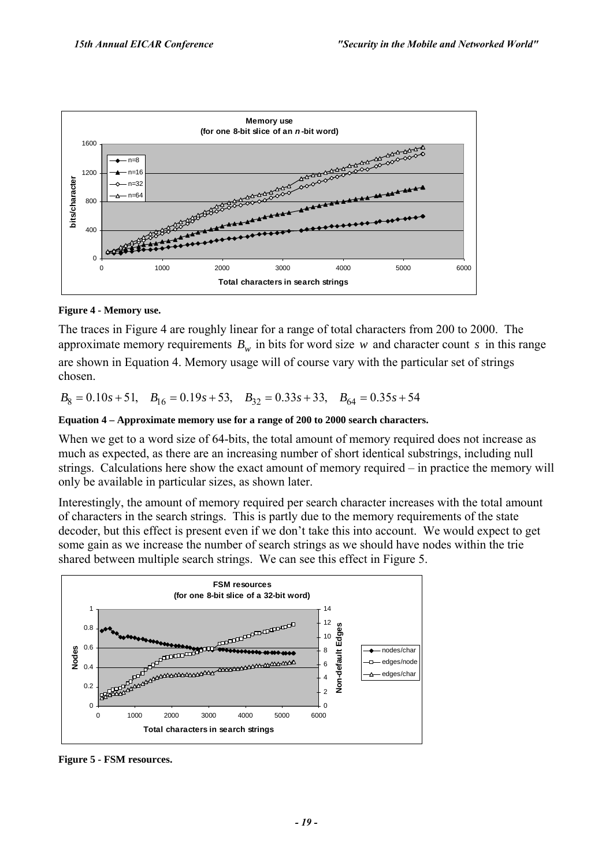

#### **Figure 4 - Memory use.**

The traces in Figure 4 are roughly linear for a range of total characters from 200 to 2000. The approximate memory requirements  $B_w$  in bits for word size *w* and character count *s* in this range are shown in Equation 4. Memory usage will of course vary with the particular set of strings chosen.

 $B_8 = 0.10s + 51$ ,  $B_{16} = 0.19s + 53$ ,  $B_{32} = 0.33s + 33$ ,  $B_{64} = 0.35s + 54$ 

#### **Equation 4 – Approximate memory use for a range of 200 to 2000 search characters.**

When we get to a word size of 64-bits, the total amount of memory required does not increase as much as expected, as there are an increasing number of short identical substrings, including null strings. Calculations here show the exact amount of memory required  $-$  in practice the memory will only be available in particular sizes, as shown later.

Interestingly, the amount of memory required per search character increases with the total amount of characters in the search strings. This is partly due to the memory requirements of the state decoder, but this effect is present even if we don't take this into account. We would expect to get some gain as we increase the number of search strings as we should have nodes within the trie shared between multiple search strings. We can see this effect in Figure 5.



**Figure 5 - FSM resources.**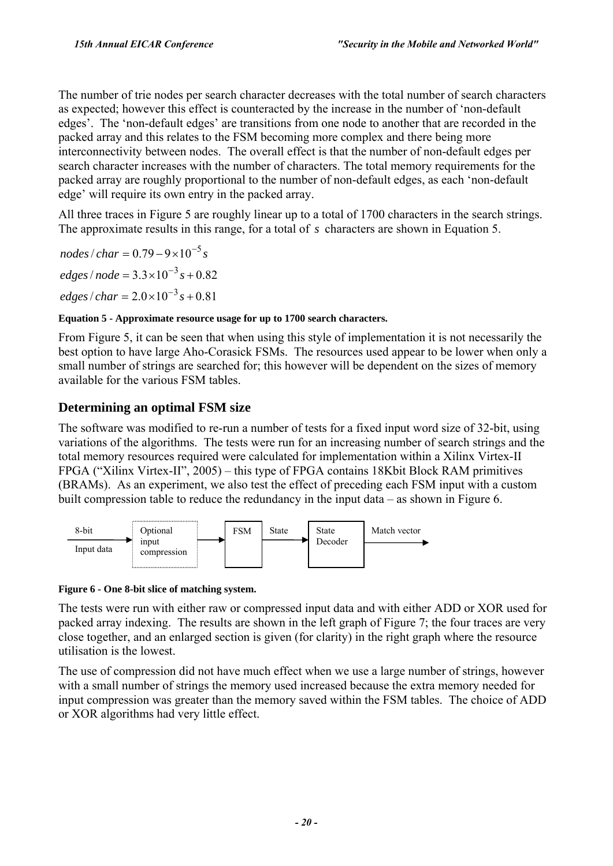The number of trie nodes per search character decreases with the total number of search characters as expected; however this effect is counteracted by the increase in the number of ënon-default edges<sup>2</sup>. The 'non-default edges' are transitions from one node to another that are recorded in the packed array and this relates to the FSM becoming more complex and there being more interconnectivity between nodes. The overall effect is that the number of non-default edges per search character increases with the number of characters. The total memory requirements for the packed array are roughly proportional to the number of non-default edges, as each 'non-default edge' will require its own entry in the packed array.

All three traces in Figure 5 are roughly linear up to a total of 1700 characters in the search strings. The approximate results in this range, for a total of *s* characters are shown in Equation 5.

 $edges/node = 3.3 \times 10^{-3} s + 0.82$  $nodes / char = 0.79 - 9 \times 10^{-5} s$ 

 $edges / char = 2.0 \times 10^{-3} s + 0.81$ 

#### **Equation 5 - Approximate resource usage for up to 1700 search characters.**

From Figure 5, it can be seen that when using this style of implementation it is not necessarily the best option to have large Aho-Corasick FSMs. The resources used appear to be lower when only a small number of strings are searched for; this however will be dependent on the sizes of memory available for the various FSM tables.

## **Determining an optimal FSM size**

The software was modified to re-run a number of tests for a fixed input word size of 32-bit, using variations of the algorithms. The tests were run for an increasing number of search strings and the total memory resources required were calculated for implementation within a Xilinx Virtex-II  $FPGA$  ("Xilinx Virtex-II", 2005) – this type of  $FPGA$  contains 18Kbit Block RAM primitives (BRAMs). As an experiment, we also test the effect of preceding each FSM input with a custom built compression table to reduce the redundancy in the input data  $-$  as shown in Figure 6.



#### **Figure 6 - One 8-bit slice of matching system.**

The tests were run with either raw or compressed input data and with either ADD or XOR used for packed array indexing. The results are shown in the left graph of Figure 7; the four traces are very close together, and an enlarged section is given (for clarity) in the right graph where the resource utilisation is the lowest.

The use of compression did not have much effect when we use a large number of strings, however with a small number of strings the memory used increased because the extra memory needed for input compression was greater than the memory saved within the FSM tables. The choice of ADD or XOR algorithms had very little effect.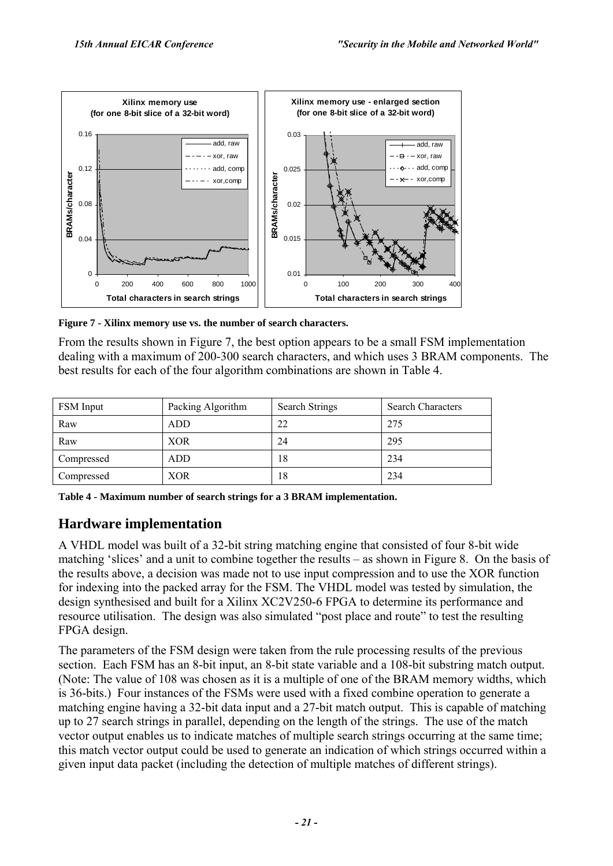

**Figure 7 - Xilinx memory use vs. the number of search characters.** 

From the results shown in Figure 7, the best option appears to be a small FSM implementation dealing with a maximum of 200-300 search characters, and which uses 3 BRAM components. The best results for each of the four algorithm combinations are shown in Table 4.

| FSM Input  | Packing Algorithm | <b>Search Strings</b> | <b>Search Characters</b> |
|------------|-------------------|-----------------------|--------------------------|
| Raw        | <b>ADD</b>        | 22                    | 275                      |
| Raw        | XOR               | 24                    | 295                      |
| Compressed | ADD               | 18                    | 234                      |
| Compressed | XOR               | 18                    | 234                      |

**Table 4 - Maximum number of search strings for a 3 BRAM implementation.** 

## **Hardware implementation**

A VHDL model was built of a 32-bit string matching engine that consisted of four 8-bit wide matching 'slices' and a unit to combine together the results  $-$  as shown in Figure 8. On the basis of the results above, a decision was made not to use input compression and to use the XOR function for indexing into the packed array for the FSM. The VHDL model was tested by simulation, the design synthesised and built for a Xilinx XC2V250-6 FPGA to determine its performance and resource utilisation. The design was also simulated "post place and route" to test the resulting FPGA design.

The parameters of the FSM design were taken from the rule processing results of the previous section. Each FSM has an 8-bit input, an 8-bit state variable and a 108-bit substring match output. (Note: The value of 108 was chosen as it is a multiple of one of the BRAM memory widths, which is 36-bits.) Four instances of the FSMs were used with a fixed combine operation to generate a matching engine having a 32-bit data input and a 27-bit match output. This is capable of matching up to 27 search strings in parallel, depending on the length of the strings. The use of the match vector output enables us to indicate matches of multiple search strings occurring at the same time; this match vector output could be used to generate an indication of which strings occurred within a given input data packet (including the detection of multiple matches of different strings).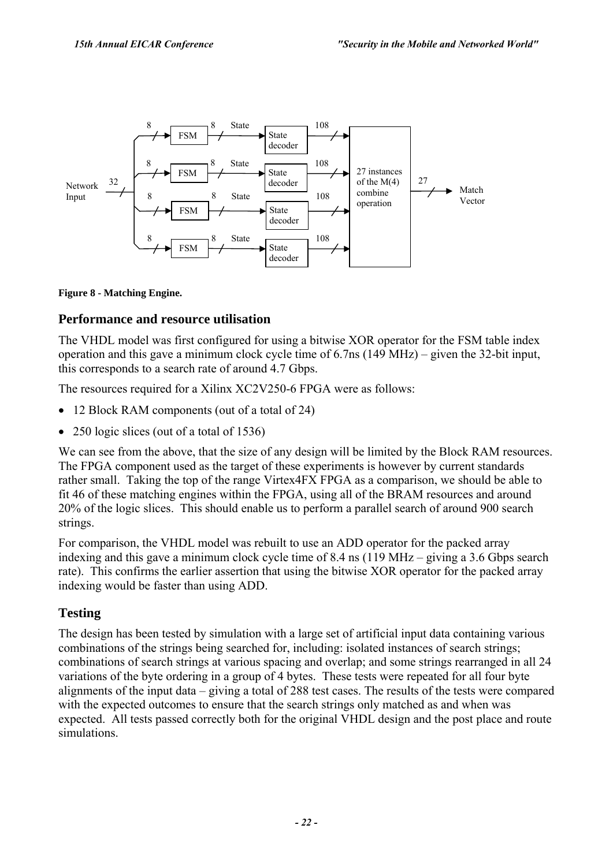

#### **Figure 8 - Matching Engine.**

#### **Performance and resource utilisation**

The VHDL model was first configured for using a bitwise XOR operator for the FSM table index operation and this gave a minimum clock cycle time of  $6.7$ ns  $(149 \text{ MHz})$  – given the 32-bit input, this corresponds to a search rate of around 4.7 Gbps.

The resources required for a Xilinx XC2V250-6 FPGA were as follows:

- 12 Block RAM components (out of a total of 24)
- 250 logic slices (out of a total of 1536)

We can see from the above, that the size of any design will be limited by the Block RAM resources. The FPGA component used as the target of these experiments is however by current standards rather small. Taking the top of the range Virtex4FX FPGA as a comparison, we should be able to fit 46 of these matching engines within the FPGA, using all of the BRAM resources and around 20% of the logic slices. This should enable us to perform a parallel search of around 900 search strings.

For comparison, the VHDL model was rebuilt to use an ADD operator for the packed array indexing and this gave a minimum clock cycle time of  $8.4 \text{ ns}$  (119 MHz – giving a 3.6 Gbps search rate). This confirms the earlier assertion that using the bitwise XOR operator for the packed array indexing would be faster than using ADD.

#### **Testing**

The design has been tested by simulation with a large set of artificial input data containing various combinations of the strings being searched for, including: isolated instances of search strings; combinations of search strings at various spacing and overlap; and some strings rearranged in all 24 variations of the byte ordering in a group of 4 bytes. These tests were repeated for all four byte alignments of the input data  $-\frac{1}{2}$  giving a total of 288 test cases. The results of the tests were compared with the expected outcomes to ensure that the search strings only matched as and when was expected. All tests passed correctly both for the original VHDL design and the post place and route simulations.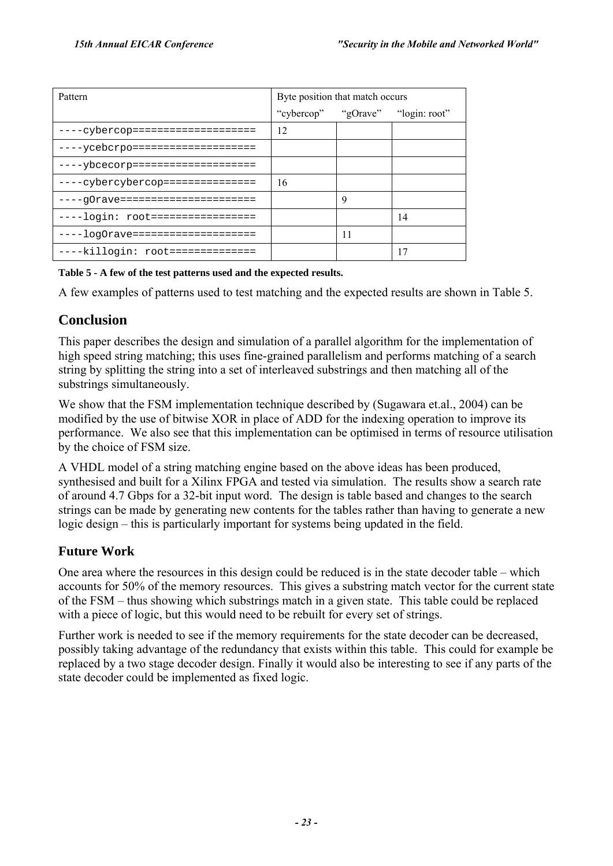| Pattern                           | Byte position that match occurs   |    |    |  |
|-----------------------------------|-----------------------------------|----|----|--|
|                                   | "cybercop" "gOrave" "login: root" |    |    |  |
| ----cybercop====================  | 12                                |    |    |  |
| ----ycebcrpo====================  |                                   |    |    |  |
| ----ybcecorp====================  |                                   |    |    |  |
| ----cybercybercop===============  | 16                                |    |    |  |
| ----q0rave======================  |                                   | 9  |    |  |
| ----login: root=================  |                                   |    | 14 |  |
| ----log0rave===================== |                                   | 11 |    |  |
| ----killogin: root==============  |                                   |    | 17 |  |

#### **Table 5 - A few of the test patterns used and the expected results.**

A few examples of patterns used to test matching and the expected results are shown in Table 5.

## **Conclusion**

This paper describes the design and simulation of a parallel algorithm for the implementation of high speed string matching; this uses fine-grained parallelism and performs matching of a search string by splitting the string into a set of interleaved substrings and then matching all of the substrings simultaneously.

We show that the FSM implementation technique described by (Sugawara et.al., 2004) can be modified by the use of bitwise XOR in place of ADD for the indexing operation to improve its performance. We also see that this implementation can be optimised in terms of resource utilisation by the choice of FSM size.

A VHDL model of a string matching engine based on the above ideas has been produced, synthesised and built for a Xilinx FPGA and tested via simulation. The results show a search rate of around 4.7 Gbps for a 32-bit input word. The design is table based and changes to the search strings can be made by generating new contents for the tables rather than having to generate a new  $logic$  design  $-$  this is particularly important for systems being updated in the field.

## **Future Work**

One area where the resources in this design could be reduced is in the state decoder table  $-\text{ which}$ accounts for 50% of the memory resources. This gives a substring match vector for the current state of the FSM – thus showing which substrings match in a given state. This table could be replaced with a piece of logic, but this would need to be rebuilt for every set of strings.

Further work is needed to see if the memory requirements for the state decoder can be decreased, possibly taking advantage of the redundancy that exists within this table. This could for example be replaced by a two stage decoder design. Finally it would also be interesting to see if any parts of the state decoder could be implemented as fixed logic.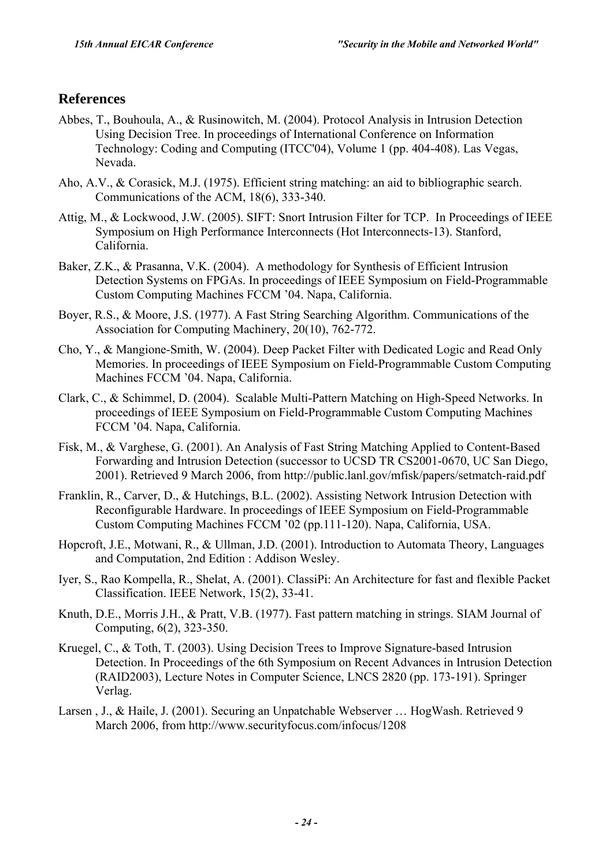## **References**

- Abbes, T., Bouhoula, A., & Rusinowitch, M. (2004). Protocol Analysis in Intrusion Detection Using Decision Tree. In proceedings of International Conference on Information Technology: Coding and Computing (ITCC'04), Volume 1 (pp. 404-408). Las Vegas, Nevada.
- Aho, A.V., & Corasick, M.J. (1975). Efficient string matching: an aid to bibliographic search. Communications of the ACM, 18(6), 333-340.
- Attig, M., & Lockwood, J.W. (2005). SIFT: Snort Intrusion Filter for TCP. In Proceedings of IEEE Symposium on High Performance Interconnects (Hot Interconnects-13). Stanford, California.
- Baker, Z.K., & Prasanna, V.K. (2004). A methodology for Synthesis of Efficient Intrusion Detection Systems on FPGAs. In proceedings of IEEE Symposium on Field-Programmable Custom Computing Machines FCCM í04. Napa, California.
- Boyer, R.S., & Moore, J.S. (1977). A Fast String Searching Algorithm. Communications of the Association for Computing Machinery, 20(10), 762-772.
- Cho, Y., & Mangione-Smith, W. (2004). Deep Packet Filter with Dedicated Logic and Read Only Memories. In proceedings of IEEE Symposium on Field-Programmable Custom Computing Machines FCCM '04. Napa, California.
- Clark, C., & Schimmel, D. (2004). Scalable Multi-Pattern Matching on High-Speed Networks. In proceedings of IEEE Symposium on Field-Programmable Custom Computing Machines FCCM í04. Napa, California.
- Fisk, M., & Varghese, G. (2001). An Analysis of Fast String Matching Applied to Content-Based Forwarding and Intrusion Detection (successor to UCSD TR CS2001-0670, UC San Diego, 2001). Retrieved 9 March 2006, from http://public.lanl.gov/mfisk/papers/setmatch-raid.pdf
- Franklin, R., Carver, D., & Hutchings, B.L. (2002). Assisting Network Intrusion Detection with Reconfigurable Hardware. In proceedings of IEEE Symposium on Field-Programmable Custom Computing Machines FCCM í02 (pp.111-120). Napa, California, USA.
- Hopcroft, J.E., Motwani, R., & Ullman, J.D. (2001). Introduction to Automata Theory, Languages and Computation, 2nd Edition : Addison Wesley.
- Iyer, S., Rao Kompella, R., Shelat, A. (2001). ClassiPi: An Architecture for fast and flexible Packet Classification. IEEE Network, 15(2), 33-41.
- Knuth, D.E., Morris J.H., & Pratt, V.B. (1977). Fast pattern matching in strings. SIAM Journal of Computing, 6(2), 323-350.
- Kruegel, C., & Toth, T. (2003). Using Decision Trees to Improve Signature-based Intrusion Detection. In Proceedings of the 6th Symposium on Recent Advances in Intrusion Detection (RAID2003), Lecture Notes in Computer Science, LNCS 2820 (pp. 173-191). Springer Verlag.
- Larsen, J., & Haile, J. (2001). Securing an Unpatchable Webserver ... HogWash. Retrieved 9 March 2006, from http://www.securityfocus.com/infocus/1208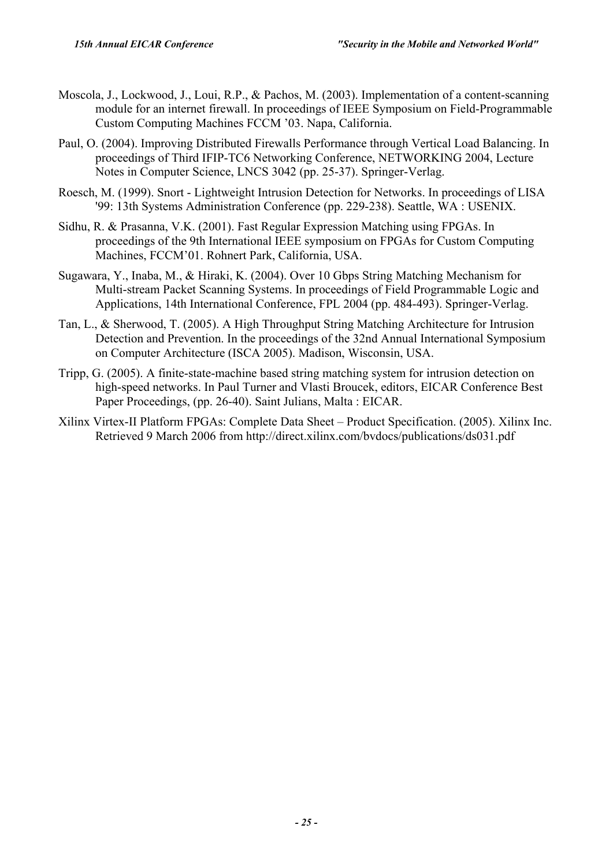- Moscola, J., Lockwood, J., Loui, R.P., & Pachos, M. (2003). Implementation of a content-scanning module for an internet firewall. In proceedings of IEEE Symposium on Field-Programmable Custom Computing Machines FCCM í03. Napa, California.
- Paul, O. (2004). Improving Distributed Firewalls Performance through Vertical Load Balancing. In proceedings of Third IFIP-TC6 Networking Conference, NETWORKING 2004, Lecture Notes in Computer Science, LNCS 3042 (pp. 25-37). Springer-Verlag.
- Roesch, M. (1999). Snort Lightweight Intrusion Detection for Networks. In proceedings of LISA '99: 13th Systems Administration Conference (pp. 229-238). Seattle, WA : USENIX.
- Sidhu, R. & Prasanna, V.K. (2001). Fast Regular Expression Matching using FPGAs. In proceedings of the 9th International IEEE symposium on FPGAs for Custom Computing Machines, FCCM'01. Rohnert Park, California, USA.
- Sugawara, Y., Inaba, M., & Hiraki, K. (2004). Over 10 Gbps String Matching Mechanism for Multi-stream Packet Scanning Systems. In proceedings of Field Programmable Logic and Applications, 14th International Conference, FPL 2004 (pp. 484-493). Springer-Verlag.
- Tan, L., & Sherwood, T. (2005). A High Throughput String Matching Architecture for Intrusion Detection and Prevention. In the proceedings of the 32nd Annual International Symposium on Computer Architecture (ISCA 2005). Madison, Wisconsin, USA.
- Tripp, G. (2005). A finite-state-machine based string matching system for intrusion detection on high-speed networks. In Paul Turner and Vlasti Broucek, editors, EICAR Conference Best Paper Proceedings, (pp. 26-40). Saint Julians, Malta : EICAR.
- Xilinx Virtex-II Platform FPGAs: Complete Data Sheet Product Specification. (2005). Xilinx Inc. Retrieved 9 March 2006 from http://direct.xilinx.com/bvdocs/publications/ds031.pdf